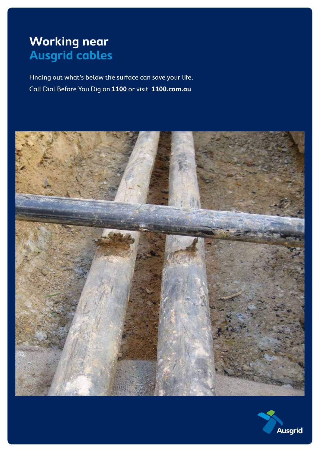# **Working near Ausgrid cables**

Finding out what's below the surface can save your life. Call Dial Before You Dig on **1100** or visit **1100.com.au**



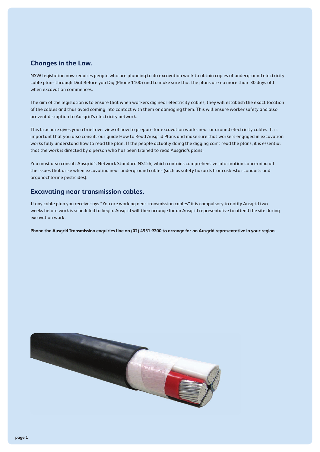#### **Changes in the Law.**

NSW legislation now requires people who are planning to do excavation work to obtain copies of underground electricity cable plans through Dial Before you Dig (Phone 1100) and to make sure that the plans are no more than 30 days old when excavation commences.

The aim of the legislation is to ensure that when workers dig near electricity cables, they will establish the exact location of the cables and thus avoid coming into contact with them or damaging them. This will ensure worker safety and also prevent disruption to Ausgrid's electricity network.

This brochure gives you a brief overview of how to prepare for excavation works near or around electricity cables. It is important that you also consult our guide How to Read Ausgrid Plans and make sure that workers engaged in excavation works fully understand how to read the plan. If the people actually doing the digging can't read the plans, it is essential that the work is directed by a person who has been trained to read Ausgrid's plans.

You must also consult Ausgrid's Network Standard NS156, which contains comprehensive information concerning all the issues that arise when excavating near underground cables (such as safety hazards from asbestos conduits and organochlorine pesticides).

#### **Excavating near transmission cables.**

If any cable plan you receive says "You are working near transmission cables" it is compulsory to notify Ausgrid two weeks before work is scheduled to begin. Ausgrid will then arrange for an Ausgrid representative to attend the site during excavation work.

**Phone the Ausgrid Transmission enquiries line on (02) 4951 9200 to arrange for an Ausgrid representative in your region.**

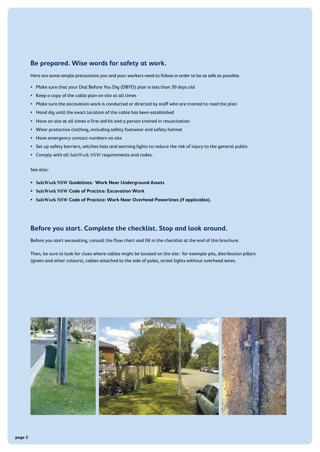#### **Be prepared. Wise words for safety at work.**

Here are some simple precautions you and your workers need to follow in order to be as safe as possible.

- Make sure that your Dial Before You Dig (DBYD) plan is less than 30 days old
- Keep a copy of the cable plan on site at all times
- Make sure the excavation work is conducted or directed by staff who are trained to read the plan
- Hand dig until the exact location of the cable has been established
- Have on site at all times a first aid kit and a person trained in resuscitation
- Wear protective clothing, including safety footwear and safety helmet
- Have emergency contact numbers on site
- Set up safety barriers, witches hats and warning lights to reduce the risk of injury to the general public
- Comply with all SafeWork NSW requirements and codes.

#### See also:

- **• SafeWork NSW Guidelines: Work Near Underground Assets**
- **• SafeWork NSW Code of Practice: Excavation Work**
- **• SafeWork NSW Code of Practice: Work Near Overhead Powerlines (if applicable).**

#### **Before you start. Complete the checklist. Stop and look around.**

Before you start excavating, consult the flow chart and fill in the checklist at the end of this brochure.

Then, be sure to look for clues where cables might be located on the site: for example pits, distribution pillars (green and other colours), cables attached to the side of poles, street lights without overhead wires.

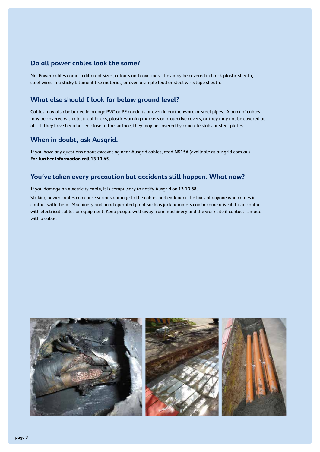#### **Do all power cables look the same?**

No. Power cables come in different sizes, colours and coverings. They may be covered in black plastic sheath, steel wires in a sticky bitument like material, or even a simple lead or steel wire/tape sheath.

#### **What else should I look for below ground level?**

Cables may also be buried in orange PVC or PE conduits or even in earthenware or steel pipes. A bank of cables may be covered with electrical bricks, plastic warning markers or protective covers, or they may not be covered at all. If they have been buried close to the surface, they may be covered by concrete slabs or steel plates.

#### **When in doubt, ask Ausgrid.**

If you have any questions about excavating near Ausgrid cables, read **NS156** (available at ausgrid.com.au). **For further information call 13 13 65**.

#### **You've taken every precaution but accidents still happen. What now?**

If you damage an electricity cable, it is compulsory to notify Ausgrid on **13 13 88**.

Striking power cables can cause serious damage to the cables and endanger the lives of anyone who comes in contact with them. Machinery and hand operated plant such as jack hammers can become alive if it is in contact with electrical cables or equipment. Keep people well away from machinery and the work site if contact is made with a cable.

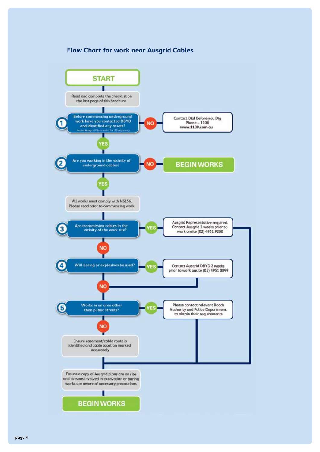#### **Flow Chart for work near Ausgrid Cables**